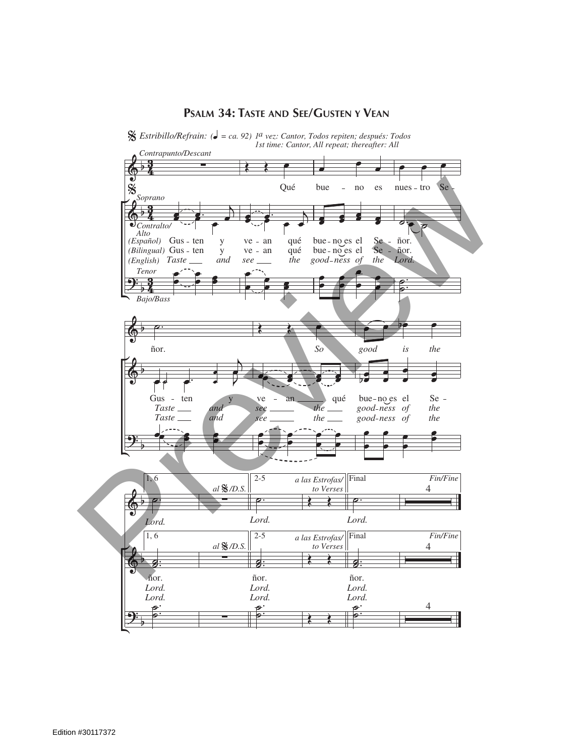

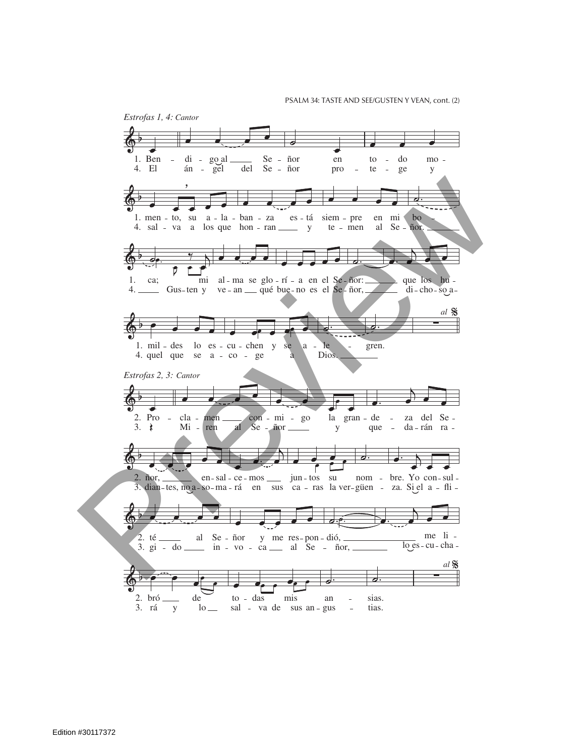PSALM 34: TASTE AND SEE/GUSTEN Y VEAN, cont. (2)